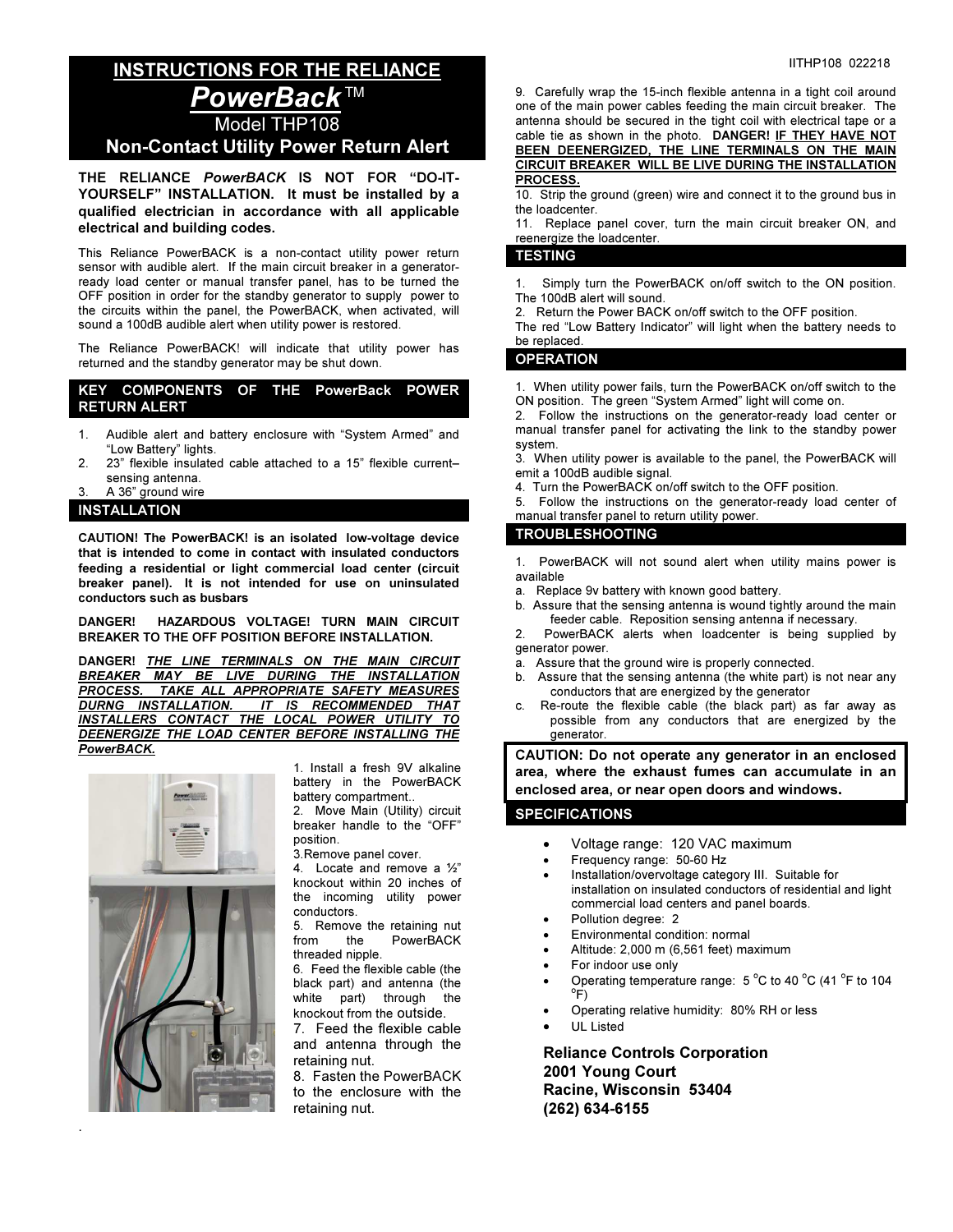# INSTRUCTIONS FOR THE RELIANCE PowerBack™ Model THP108 Non-Contact Utility Power Return Alert

THE RELIANCE PowerBACK IS NOT FOR "DO-IT-YOURSELF" INSTALLATION. It must be installed by a qualified electrician in accordance with all applicable electrical and building codes.

This Reliance PowerBACK is a non-contact utility power return sensor with audible alert. If the main circuit breaker in a generatorready load center or manual transfer panel, has to be turned the OFF position in order for the standby generator to supply power to the circuits within the panel, the PowerBACK, when activated, will sound a 100dB audible alert when utility power is restored.

The Reliance PowerBACK! will indicate that utility power has returned and the standby generator may be shut down.

#### KEY COMPONENTS OF THE PowerBack POWER RETURN ALERT

- 1. Audible alert and battery enclosure with "System Armed" and "Low Battery" lights.
- 2. 23" flexible insulated cable attached to a 15" flexible current– sensing antenna.
- A 36" ground wire

#### INSTALLATION

CAUTION! The PowerBACK! is an isolated low-voltage device that is intended to come in contact with insulated conductors feeding a residential or light commercial load center (circuit breaker panel). It is not intended for use on uninsulated conductors such as busbars

#### DANGER! HAZARDOUS VOLTAGE! TURN MAIN CIRCUIT BREAKER TO THE OFF POSITION BEFORE INSTALLATION.

DANGER! THE LINE TERMINALS ON THE MAIN CIRCUIT BREAKER MAY BE LIVE DURING THE INSTALLATION PROCESS. TAKE ALL APPROPRIATE SAFETY MEASURES DURNG INSTALLATION. IT IS RECOMMENDED THAT INSTALLERS CONTACT THE LOCAL POWER UTILITY TO DEENERGIZE THE LOAD CENTER BEFORE INSTALLING THE PowerBACK.



.

1. Install a fresh 9V alkaline battery in the PowerBACK battery compartment..

2. Move Main (Utility) circuit breaker handle to the "OFF" position.

3.Remove panel cover.

4. Locate and remove a ½" knockout within 20 inches of the incoming utility power conductors.

5. Remove the retaining nut from the PowerBACK threaded nipple.

6. Feed the flexible cable (the black part) and antenna (the white part) through the knockout from the outside.

7. Feed the flexible cable and antenna through the retaining nut.

8. Fasten the PowerBACK to the enclosure with the retaining nut.

- 9. Carefully wrap the 15-inch flexible antenna in a tight coil around one of the main power cables feeding the main circuit breaker. The antenna should be secured in the tight coil with electrical tape or a cable tie as shown in the photo. DANGER! IF THEY HAVE NOT BEEN DEENERGIZED, THE LINE TERMINALS ON THE MAIN CIRCUIT BREAKER WILL BE LIVE DURING THE INSTALLATION PROCESS.
- 10. Strip the ground (green) wire and connect it to the ground bus in the loadcenter.

11. Replace panel cover, turn the main circuit breaker ON, and reenergize the loadcenter.

#### **TESTING**

1. Simply turn the PowerBACK on/off switch to the ON position. The 100dB alert will sound.

2. Return the Power BACK on/off switch to the OFF position.

The red "Low Battery Indicator" will light when the battery needs to be replaced.

#### **OPERATION**

1. When utility power fails, turn the PowerBACK on/off switch to the ON position. The green "System Armed" light will come on.

2. Follow the instructions on the generator-ready load center or manual transfer panel for activating the link to the standby power system.

3. When utility power is available to the panel, the PowerBACK will emit a 100dB audible signal.

- 4. Turn the PowerBACK on/off switch to the OFF position.
- 5. Follow the instructions on the generator-ready load center of manual transfer panel to return utility power.

### TROUBLESHOOTING

1. PowerBACK will not sound alert when utility mains power is available

- a. Replace 9v battery with known good battery.
- b. Assure that the sensing antenna is wound tightly around the main feeder cable. Reposition sensing antenna if necessary.

2. PowerBACK alerts when loadcenter is being supplied by generator power.

- a. Assure that the ground wire is properly connected.
- b. Assure that the sensing antenna (the white part) is not near any conductors that are energized by the generator
- c. Re-route the flexible cable (the black part) as far away as possible from any conductors that are energized by the **generator**

CAUTION: Do not operate any generator in an enclosed area, where the exhaust fumes can accumulate in an enclosed area, or near open doors and windows.

#### SPECIFICATIONS

- Voltage range: 120 VAC maximum
- Frequency range: 50-60 Hz
- Installation/overvoltage category III. Suitable for installation on insulated conductors of residential and light commercial load centers and panel boards.
- Pollution degree: 2
- Environmental condition: normal
- Altitude: 2,000 m (6,561 feet) maximum
- For indoor use only
- Operating temperature range:  $5^{\circ}$ C to 40 °C (41 °F to 104  $\overline{r}$ F)
- Operating relative humidity: 80% RH or less
- UL Listed

Reliance Controls Corporation 2001 Young Court Racine, Wisconsin 53404 (262) 634-6155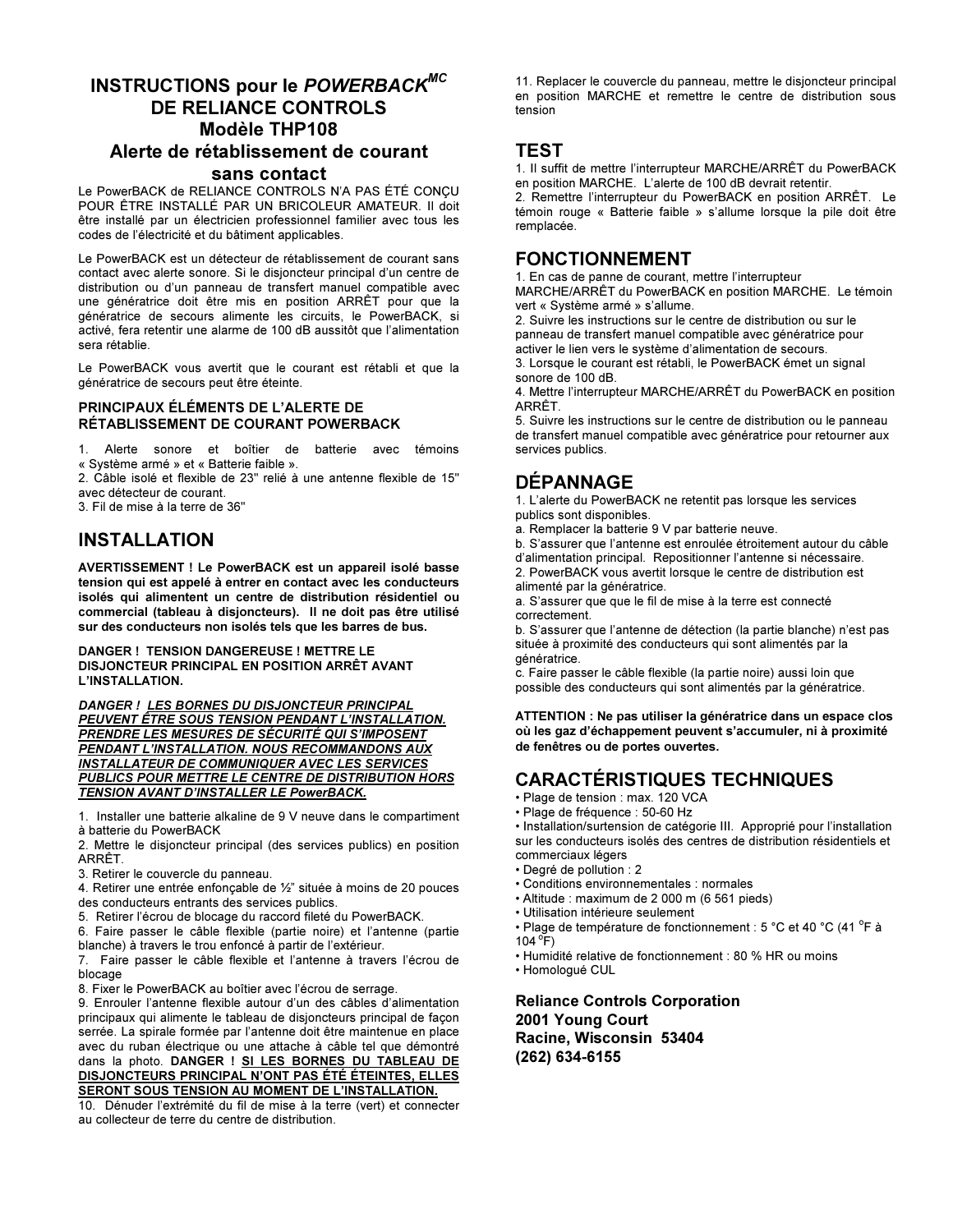## INSTRUCTIONS pour le POWERBACK<sup>MC</sup> DE RELIANCE CONTROLS Modèle THP108 Alerte de rétablissement de courant sans contact

Le PowerBACK de RELIANCE CONTROLS N'A PAS ÉTÉ CONCU POUR ÊTRE INSTALLÉ PAR UN BRICOLEUR AMATEUR. Il doit être installé par un électricien professionnel familier avec tous les codes de l'électricité et du bâtiment applicables.

Le PowerBACK est un détecteur de rétablissement de courant sans contact avec alerte sonore. Si le disjoncteur principal d'un centre de distribution ou d'un panneau de transfert manuel compatible avec une génératrice doit être mis en position ARRÊT pour que la génératrice de secours alimente les circuits, le PowerBACK, si activé, fera retentir une alarme de 100 dB aussitôt que l'alimentation sera rétablie.

Le PowerBACK vous avertit que le courant est rétabli et que la génératrice de secours peut être éteinte.

#### PRINCIPAUX ÉLÉMENTS DE L'ALERTE DE RÉTABLISSEMENT DE COURANT POWERBACK

1. Alerte sonore et boîtier de batterie avec témoins « Système armé » et « Batterie faible ».

2. Câble isolé et flexible de 23" relié à une antenne flexible de 15" avec détecteur de courant.

3. Fil de mise à la terre de 36"

## INSTALLATION

AVERTISSEMENT ! Le PowerBACK est un appareil isolé basse tension qui est appelé à entrer en contact avec les conducteurs isolés qui alimentent un centre de distribution résidentiel ou commercial (tableau à disjoncteurs). Il ne doit pas être utilisé sur des conducteurs non isolés tels que les barres de bus.

DANGER ! TENSION DANGEREUSE ! METTRE LE DISJONCTEUR PRINCIPAL EN POSITION ARRÊT AVANT L'INSTALLATION.

DANGER ! LES BORNES DU DISJONCTEUR PRINCIPAL PEUVENT ÊTRE SOUS TENSION PENDANT L'INSTALLATION. PRENDRE LES MESURES DE SÉCURITÉ QUI S'IMPOSENT PENDANT L'INSTALLATION. NOUS RECOMMANDONS AUX INSTALLATEUR DE COMMUNIQUER AVEC LES SERVICES PUBLICS POUR METTRE LE CENTRE DE DISTRIBUTION HORS TENSION AVANT D'INSTALLER LE PowerBACK.

1. Installer une batterie alkaline de 9 V neuve dans le compartiment à batterie du PowerBACK

2. Mettre le disjoncteur principal (des services publics) en position ARRÊT.

3. Retirer le couvercle du panneau.

4. Retirer une entrée enfonçable de ½" située à moins de 20 pouces des conducteurs entrants des services publics.

5. Retirer l'écrou de blocage du raccord fileté du PowerBACK.

6. Faire passer le câble flexible (partie noire) et l'antenne (partie blanche) à travers le trou enfoncé à partir de l'extérieur.

7. Faire passer le câble flexible et l'antenne à travers l'écrou de blocage

8. Fixer le PowerBACK au boîtier avec l'écrou de serrage.

9. Enrouler l'antenne flexible autour d'un des câbles d'alimentation principaux qui alimente le tableau de disjoncteurs principal de façon serrée. La spirale formée par l'antenne doit être maintenue en place avec du ruban électrique ou une attache à câble tel que démontré dans la photo. DANGER ! SI LES BORNES DU TABLEAU DE DISJONCTEURS PRINCIPAL N'ONT PAS ÉTÉ ÉTEINTES, ELLES SERONT SOUS TENSION AU MOMENT DE L'INSTALLATION.

10. Dénuder l'extrémité du fil de mise à la terre (vert) et connecter au collecteur de terre du centre de distribution.

11. Replacer le couvercle du panneau, mettre le disjoncteur principal en position MARCHE et remettre le centre de distribution sous tension

### **TEST**

1. Il suffit de mettre l'interrupteur MARCHE/ARRÊT du PowerBACK en position MARCHE. L'alerte de 100 dB devrait retentir.

2. Remettre l'interrupteur du PowerBACK en position ARRÊT. Le témoin rouge « Batterie faible » s'allume lorsque la pile doit être remplacée.

### FONCTIONNEMENT

1. En cas de panne de courant, mettre l'interrupteur

MARCHE/ARRÊT du PowerBACK en position MARCHE. Le témoin vert « Système armé » s'allume.

2. Suivre les instructions sur le centre de distribution ou sur le panneau de transfert manuel compatible avec génératrice pour activer le lien vers le système d'alimentation de secours.

3. Lorsque le courant est rétabli, le PowerBACK émet un signal sonore de 100 dB.

4. Mettre l'interrupteur MARCHE/ARRÊT du PowerBACK en position ARRÊT.

5. Suivre les instructions sur le centre de distribution ou le panneau de transfert manuel compatible avec génératrice pour retourner aux services publics.

## DÉPANNAGE

1. L'alerte du PowerBACK ne retentit pas lorsque les services publics sont disponibles.

a. Remplacer la batterie 9 V par batterie neuve.

b. S'assurer que l'antenne est enroulée étroitement autour du câble

d'alimentation principal. Repositionner l'antenne si nécessaire. 2. PowerBACK vous avertit lorsque le centre de distribution est alimenté par la génératrice.

a. S'assurer que que le fil de mise à la terre est connecté correctement.

b. S'assurer que l'antenne de détection (la partie blanche) n'est pas située à proximité des conducteurs qui sont alimentés par la génératrice.

c. Faire passer le câble flexible (la partie noire) aussi loin que possible des conducteurs qui sont alimentés par la génératrice.

ATTENTION : Ne pas utiliser la génératrice dans un espace clos où les gaz d'échappement peuvent s'accumuler, ni à proximité de fenêtres ou de portes ouvertes.

# CARACTÉRISTIQUES TECHNIQUES

• Plage de tension : max. 120 VCA

• Plage de fréquence : 50-60 Hz

• Installation/surtension de catégorie III. Approprié pour l'installation sur les conducteurs isolés des centres de distribution résidentiels et commerciaux légers

- Degré de pollution : 2
- Conditions environnementales : normales
- Altitude : maximum de 2 000 m (6 561 pieds)
- Utilisation intérieure seulement
- Plage de température de fonctionnement : 5 °C et 40 °C (41 °F à  $104^{\circ}$ F)
- Humidité relative de fonctionnement : 80 % HR ou moins
- Homologué CUL

Reliance Controls Corporation 2001 Young Court Racine, Wisconsin 53404 (262) 634-6155